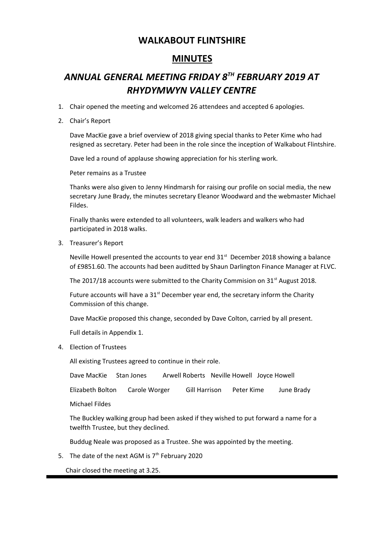#### **WALKABOUT FLINTSHIRE**

### **MINUTES**

# *ANNUAL GENERAL MEETING FRIDAY 8TH FEBRUARY 2019 AT RHYDYMWYN VALLEY CENTRE*

- 1. Chair opened the meeting and welcomed 26 attendees and accepted 6 apologies.
- 2. Chair's Report

Dave MacKie gave a brief overview of 2018 giving special thanks to Peter Kime who had resigned as secretary. Peter had been in the role since the inception of Walkabout Flintshire.

Dave led a round of applause showing appreciation for his sterling work.

Peter remains as a Trustee

Thanks were also given to Jenny Hindmarsh for raising our profile on social media, the new secretary June Brady, the minutes secretary Eleanor Woodward and the webmaster Michael Fildes.

Finally thanks were extended to all volunteers, walk leaders and walkers who had participated in 2018 walks.

3. Treasurer's Report

Neville Howell presented the accounts to year end  $31<sup>st</sup>$  December 2018 showing a balance of £9851.60. The accounts had been auditted by Shaun Darlington Finance Manager at FLVC.

The 2017/18 accounts were submitted to the Charity Commision on  $31<sup>st</sup>$  August 2018.

Future accounts will have a  $31<sup>st</sup>$  December year end, the secretary inform the Charity Commission of this change.

Dave MacKie proposed this change, seconded by Dave Colton, carried by all present.

Full details in Appendix 1.

4. Election of Trustees

All existing Trustees agreed to continue in their role.

Dave MacKie Stan Jones Arwell Roberts Neville Howell Joyce Howell

Elizabeth Bolton Carole Worger Gill Harrison Peter Kime June Brady

Michael Fildes

The Buckley walking group had been asked if they wished to put forward a name for a twelfth Trustee, but they declined.

Buddug Neale was proposed as a Trustee. She was appointed by the meeting.

5. The date of the next AGM is  $7<sup>th</sup>$  February 2020

Chair closed the meeting at 3.25.